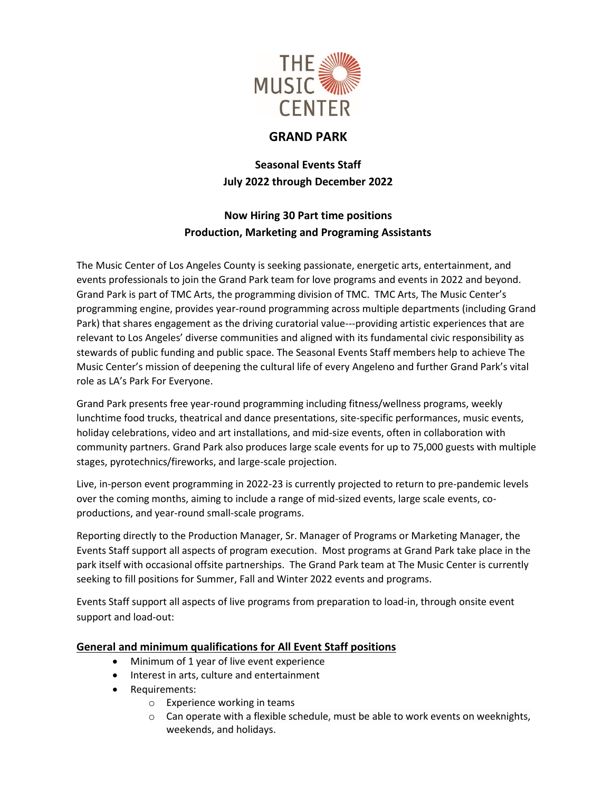

## **GRAND PARK**

**Seasonal Events Staff July 2022 through December 2022**

### **Now Hiring 30 Part time positions Production, Marketing and Programing Assistants**

The Music Center of Los Angeles County is seeking passionate, energetic arts, entertainment, and events professionals to join the Grand Park team for love programs and events in 2022 and beyond. Grand Park is part of TMC Arts, the programming division of TMC. TMC Arts, The Music Center's programming engine, provides year-round programming across multiple departments (including Grand Park) that shares engagement as the driving curatorial value---providing artistic experiences that are relevant to Los Angeles' diverse communities and aligned with its fundamental civic responsibility as stewards of public funding and public space. The Seasonal Events Staff members help to achieve The Music Center's mission of deepening the cultural life of every Angeleno and further Grand Park's vital role as LA's Park For Everyone.

Grand Park presents free year-round programming including fitness/wellness programs, weekly lunchtime food trucks, theatrical and dance presentations, site-specific performances, music events, holiday celebrations, video and art installations, and mid-size events, often in collaboration with community partners. Grand Park also produces large scale events for up to 75,000 guests with multiple stages, pyrotechnics/fireworks, and large-scale projection.

Live, in-person event programming in 2022-23 is currently projected to return to pre-pandemic levels over the coming months, aiming to include a range of mid-sized events, large scale events, coproductions, and year-round small-scale programs.

Reporting directly to the Production Manager, Sr. Manager of Programs or Marketing Manager, the Events Staff support all aspects of program execution. Most programs at Grand Park take place in the park itself with occasional offsite partnerships. The Grand Park team at The Music Center is currently seeking to fill positions for Summer, Fall and Winter 2022 events and programs.

Events Staff support all aspects of live programs from preparation to load-in, through onsite event support and load-out:

### **General and minimum qualifications for All Event Staff positions**

- Minimum of 1 year of live event experience
- Interest in arts, culture and entertainment
- Requirements:
	- o Experience working in teams
	- $\circ$  Can operate with a flexible schedule, must be able to work events on weeknights, weekends, and holidays.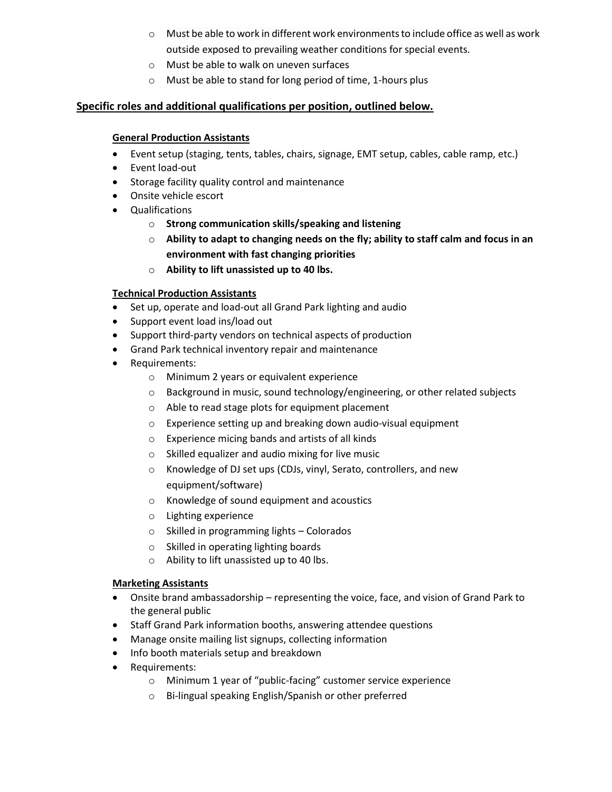- $\circ$  Must be able to work in different work environments to include office as well as work outside exposed to prevailing weather conditions for special events.
- o Must be able to walk on uneven surfaces
- o Must be able to stand for long period of time, 1-hours plus

### **Specific roles and additional qualifications per position, outlined below.**

#### **General Production Assistants**

- Event setup (staging, tents, tables, chairs, signage, EMT setup, cables, cable ramp, etc.)
- Event load-out
- Storage facility quality control and maintenance
- Onsite vehicle escort
- Qualifications
	- o **Strong communication skills/speaking and listening**
	- o **Ability to adapt to changing needs on the fly; ability to staff calm and focus in an environment with fast changing priorities**
	- o **Ability to lift unassisted up to 40 lbs.**

#### **Technical Production Assistants**

- Set up, operate and load-out all Grand Park lighting and audio
- Support event load ins/load out
- Support third-party vendors on technical aspects of production
- Grand Park technical inventory repair and maintenance
- Requirements:
	- o Minimum 2 years or equivalent experience
	- $\circ$  Background in music, sound technology/engineering, or other related subjects
	- o Able to read stage plots for equipment placement
	- o Experience setting up and breaking down audio-visual equipment
	- o Experience micing bands and artists of all kinds
	- o Skilled equalizer and audio mixing for live music
	- o Knowledge of DJ set ups (CDJs, vinyl, Serato, controllers, and new equipment/software)
	- o Knowledge of sound equipment and acoustics
	- o Lighting experience
	- o Skilled in programming lights Colorados
	- o Skilled in operating lighting boards
	- o Ability to lift unassisted up to 40 lbs.

#### **Marketing Assistants**

- Onsite brand ambassadorship representing the voice, face, and vision of Grand Park to the general public
- Staff Grand Park information booths, answering attendee questions
- Manage onsite mailing list signups, collecting information
- Info booth materials setup and breakdown
- Requirements:
	- o Minimum 1 year of "public-facing" customer service experience
	- o Bi-lingual speaking English/Spanish or other preferred